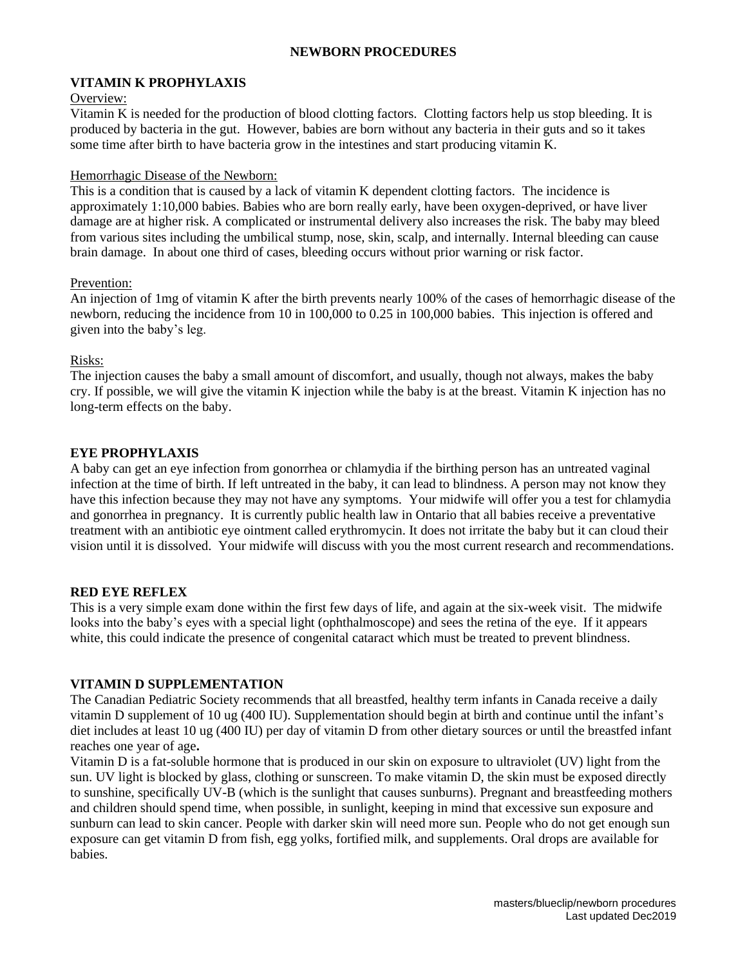### **NEWBORN PROCEDURES**

# **VITAMIN K PROPHYLAXIS**

### Overview:

Vitamin K is needed for the production of blood clotting factors. Clotting factors help us stop bleeding. It is produced by bacteria in the gut. However, babies are born without any bacteria in their guts and so it takes some time after birth to have bacteria grow in the intestines and start producing vitamin K.

### Hemorrhagic Disease of the Newborn:

This is a condition that is caused by a lack of vitamin K dependent clotting factors. The incidence is approximately 1:10,000 babies. Babies who are born really early, have been oxygen-deprived, or have liver damage are at higher risk. A complicated or instrumental delivery also increases the risk. The baby may bleed from various sites including the umbilical stump, nose, skin, scalp, and internally. Internal bleeding can cause brain damage. In about one third of cases, bleeding occurs without prior warning or risk factor.

#### Prevention:

An injection of 1mg of vitamin K after the birth prevents nearly 100% of the cases of hemorrhagic disease of the newborn, reducing the incidence from 10 in 100,000 to 0.25 in 100,000 babies. This injection is offered and given into the baby's leg.

#### Risks:

The injection causes the baby a small amount of discomfort, and usually, though not always, makes the baby cry. If possible, we will give the vitamin K injection while the baby is at the breast. Vitamin K injection has no long-term effects on the baby.

# **EYE PROPHYLAXIS**

A baby can get an eye infection from gonorrhea or chlamydia if the birthing person has an untreated vaginal infection at the time of birth. If left untreated in the baby, it can lead to blindness. A person may not know they have this infection because they may not have any symptoms. Your midwife will offer you a test for chlamydia and gonorrhea in pregnancy. It is currently public health law in Ontario that all babies receive a preventative treatment with an antibiotic eye ointment called erythromycin. It does not irritate the baby but it can cloud their vision until it is dissolved. Your midwife will discuss with you the most current research and recommendations.

# **RED EYE REFLEX**

This is a very simple exam done within the first few days of life, and again at the six-week visit. The midwife looks into the baby's eyes with a special light (ophthalmoscope) and sees the retina of the eye. If it appears white, this could indicate the presence of congenital cataract which must be treated to prevent blindness.

# **VITAMIN D SUPPLEMENTATION**

The Canadian Pediatric Society recommends that all breastfed, healthy term infants in Canada receive a daily vitamin D supplement of 10 ug (400 IU). Supplementation should begin at birth and continue until the infant's diet includes at least 10 ug (400 IU) per day of vitamin D from other dietary sources or until the breastfed infant reaches one year of age**.**

Vitamin D is a fat-soluble hormone that is produced in our skin on exposure to ultraviolet (UV) light from the sun. UV light is blocked by glass, clothing or sunscreen. To make vitamin D, the skin must be exposed directly to sunshine, specifically UV-B (which is the sunlight that causes sunburns). Pregnant and breastfeeding mothers and children should spend time, when possible, in sunlight, keeping in mind that excessive sun exposure and sunburn can lead to skin cancer. People with darker skin will need more sun. People who do not get enough sun exposure can get vitamin D from fish, egg yolks, fortified milk, and supplements. Oral drops are available for babies.